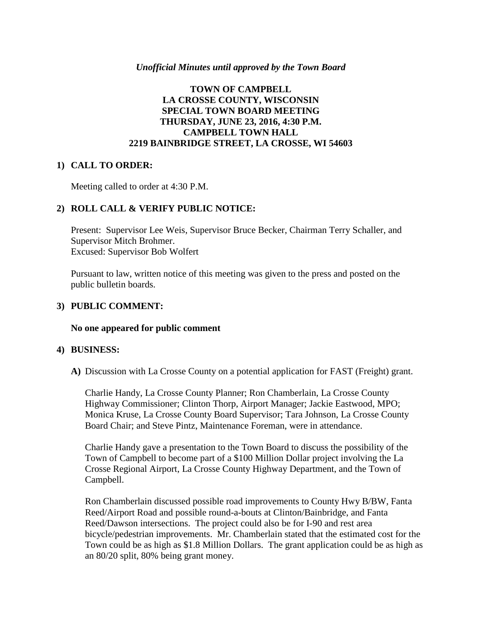### *Unofficial Minutes until approved by the Town Board*

## **TOWN OF CAMPBELL LA CROSSE COUNTY, WISCONSIN SPECIAL TOWN BOARD MEETING THURSDAY, JUNE 23, 2016, 4:30 P.M. CAMPBELL TOWN HALL 2219 BAINBRIDGE STREET, LA CROSSE, WI 54603**

#### **1) CALL TO ORDER:**

Meeting called to order at 4:30 P.M.

### **2) ROLL CALL & VERIFY PUBLIC NOTICE:**

Present: Supervisor Lee Weis, Supervisor Bruce Becker, Chairman Terry Schaller, and Supervisor Mitch Brohmer. Excused: Supervisor Bob Wolfert

Pursuant to law, written notice of this meeting was given to the press and posted on the public bulletin boards.

#### **3) PUBLIC COMMENT:**

#### **No one appeared for public comment**

### **4) BUSINESS:**

**A)** Discussion with La Crosse County on a potential application for FAST (Freight) grant.

Charlie Handy, La Crosse County Planner; Ron Chamberlain, La Crosse County Highway Commissioner; Clinton Thorp, Airport Manager; Jackie Eastwood, MPO; Monica Kruse, La Crosse County Board Supervisor; Tara Johnson, La Crosse County Board Chair; and Steve Pintz, Maintenance Foreman, were in attendance.

Charlie Handy gave a presentation to the Town Board to discuss the possibility of the Town of Campbell to become part of a \$100 Million Dollar project involving the La Crosse Regional Airport, La Crosse County Highway Department, and the Town of Campbell.

Ron Chamberlain discussed possible road improvements to County Hwy B/BW, Fanta Reed/Airport Road and possible round-a-bouts at Clinton/Bainbridge, and Fanta Reed/Dawson intersections. The project could also be for I-90 and rest area bicycle/pedestrian improvements. Mr. Chamberlain stated that the estimated cost for the Town could be as high as \$1.8 Million Dollars. The grant application could be as high as an 80/20 split, 80% being grant money.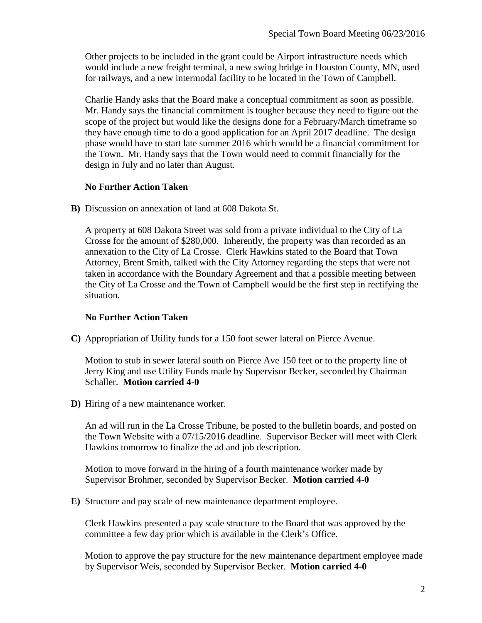Other projects to be included in the grant could be Airport infrastructure needs which would include a new freight terminal, a new swing bridge in Houston County, MN, used for railways, and a new intermodal facility to be located in the Town of Campbell.

Charlie Handy asks that the Board make a conceptual commitment as soon as possible. Mr. Handy says the financial commitment is tougher because they need to figure out the scope of the project but would like the designs done for a February/March timeframe so they have enough time to do a good application for an April 2017 deadline. The design phase would have to start late summer 2016 which would be a financial commitment for the Town. Mr. Handy says that the Town would need to commit financially for the design in July and no later than August.

### **No Further Action Taken**

**B)** Discussion on annexation of land at 608 Dakota St.

A property at 608 Dakota Street was sold from a private individual to the City of La Crosse for the amount of \$280,000. Inherently, the property was than recorded as an annexation to the City of La Crosse. Clerk Hawkins stated to the Board that Town Attorney, Brent Smith, talked with the City Attorney regarding the steps that were not taken in accordance with the Boundary Agreement and that a possible meeting between the City of La Crosse and the Town of Campbell would be the first step in rectifying the situation.

# **No Further Action Taken**

**C)** Appropriation of Utility funds for a 150 foot sewer lateral on Pierce Avenue.

Motion to stub in sewer lateral south on Pierce Ave 150 feet or to the property line of Jerry King and use Utility Funds made by Supervisor Becker, seconded by Chairman Schaller. **Motion carried 4-0**

**D)** Hiring of a new maintenance worker.

An ad will run in the La Crosse Tribune, be posted to the bulletin boards, and posted on the Town Website with a 07/15/2016 deadline. Supervisor Becker will meet with Clerk Hawkins tomorrow to finalize the ad and job description.

Motion to move forward in the hiring of a fourth maintenance worker made by Supervisor Brohmer, seconded by Supervisor Becker. **Motion carried 4-0**

**E)** Structure and pay scale of new maintenance department employee.

Clerk Hawkins presented a pay scale structure to the Board that was approved by the committee a few day prior which is available in the Clerk's Office.

Motion to approve the pay structure for the new maintenance department employee made by Supervisor Weis, seconded by Supervisor Becker. **Motion carried 4-0**